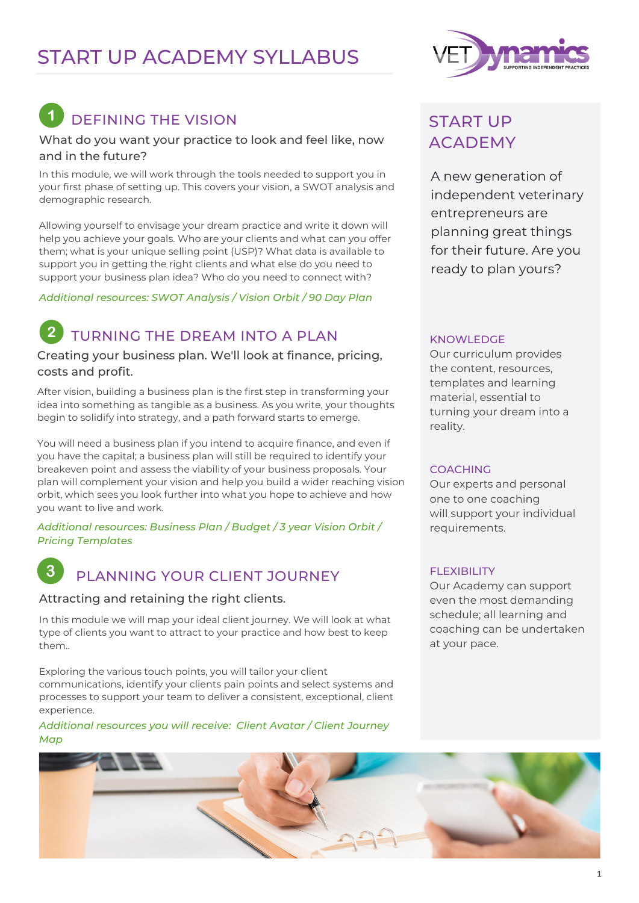## START UP ACADEMY SYLLABUS

# DEFINING THE VISION

### What do you want your practice to look and feel like, now and in the future?

In this module, we will work through the tools needed to support you in your first phase of setting up. This covers your vision, a SWOT analysis and demographic research.

Allowing yourself to envisage your dream practice and write it down will help you achieve your goals. Who are your clients and what can you offer them; what is your unique selling point (USP)? What data is available to support you in getting the right clients and what else do you need to support your business plan idea? Who do you need to connect with?

*Additional resources: SWOT Analysis / Vision Orbit / 90 Day Plan*

### TURNING THE DREAM INTO A PLAN

Creating your business plan. We'll look at finance, pricing, costs and profit.

After vision, building a business plan is the first step in transforming your idea into something as tangible as a business. As you write, your thoughts begin to solidify into strategy, and a path forward starts to emerge.

You will need a business plan if you intend to acquire finance, and even if you have the capital; a business plan will still be required to identify your breakeven point and assess the viability of your business proposals. Your plan will complement your vision and help you build a wider reaching vision orbit, which sees you look further into what you hope to achieve and how you want to live and work.

*Additional resources: Business Plan / Budget / 3 year Vision Orbit / Pricing Templates*

### PLANNING YOUR CLIENT JOURNEY

### Attracting and retaining the right clients.

In this module we will map your ideal client journey. We will look at what type of clients you want to attract to your practice and how best to keep them..

Exploring the various touch points, you will tailor your client communications, identify your clients pain points and select systems and processes to support your team to deliver a consistent, exceptional, client experience.

*Additional resources you will receive: Client Avatar / Client Journey Map*



### START UP ACADEMY

A new generation of independent veterinary entrepreneurs are planning great things for their future. Are you ready to plan yours?

#### KNOWLEDGE

Our curriculum provides the content, resources, templates and learning material, essential to turning your dream into a reality.

### COACHING

Our experts and personal one to one coaching will support your individual requirements.

### **FLEXIBILITY**

Our Academy can support even the most demanding schedule; all learning and coaching can be undertaken at your pace.